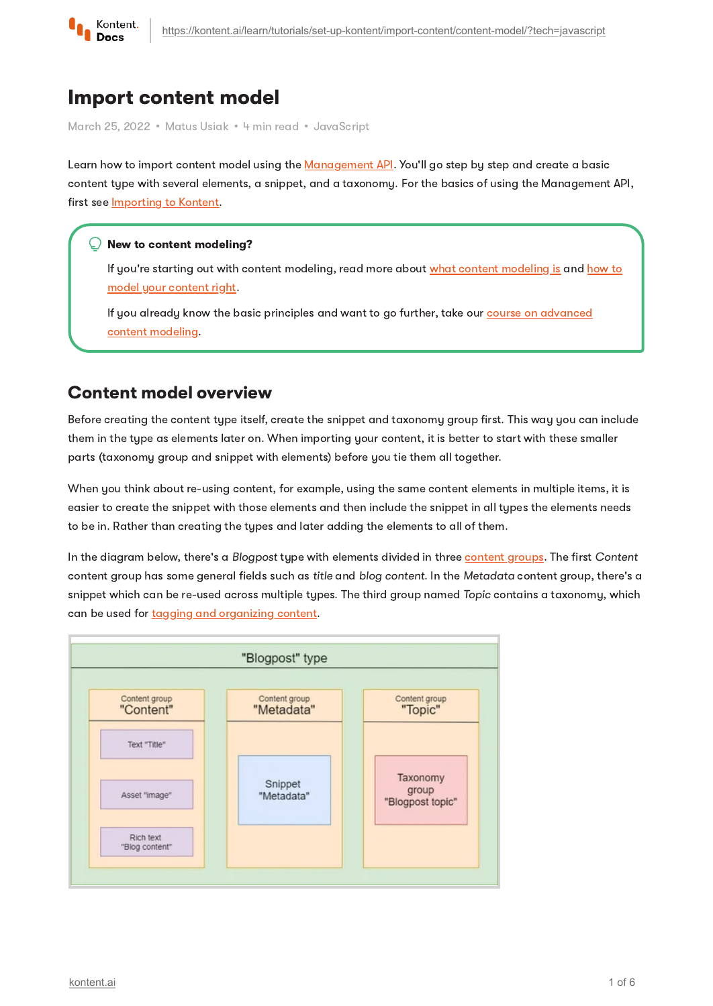

# Import content model

March 25, 2022 • Matus Usiak • 4 min read • JavaScript

Learn how to import content model using the [Management](https://kontent.ai/learn/reference/management-api-v2/) API. You'll go step by step and create a basic content type with several elements, a snippet, and a taxonomy. For the basics of using the Management API, first see **[Importing](https://kontent.ai/learn/tutorials/set-up-kontent/import-content/overview/) to Kontent**.

#### New to content modeling?

If you're starting out with content [modeling,](https://kontent.ai/learn/tutorials/set-up-kontent/content-modeling/create-your-content-model/) read more about what content [modeling](https://kontent.ai/learn/tutorials/set-up-kontent/content-modeling/what-is-content-modeling/) is and how to model your content right.

If you already know the basic principles and want to go further, take our course on advanced content [modeling.](https://kontent.ai/learn/e-learning/advanced-content-modeling/)

### Content model overview

Before creating the content type itself, create the snippet and taxonomy group first. This way you can include them in the type as elements later on. When importing your content, it is better to start with these smaller parts (taxonomy group and snippet with elements) before you tie them all together.

When you think about re-using content, for example, using the same content elements in multiple items, it is easier to create the snippet with those elements and then include the snippet in all types the elements needs to be in. Rather than creating the types and later adding the elements to all of them.

In the diagram below, there's a Blogpost type with elements divided in three [content](https://kontent.ai/learn/tutorials/manage-kontent/content-modeling/organize-elements-with-content-groups/) groups. The first Content content group has some general fields such as title and blog content. In the Metadata content group, there's a snippet which can be re-used across multiple types. The third group named Topic contains a taxonomy, which can be used for tagging and [organizing](https://kontent.ai/learn/tutorials/manage-kontent/content-modeling/create-taxonomies/) content.

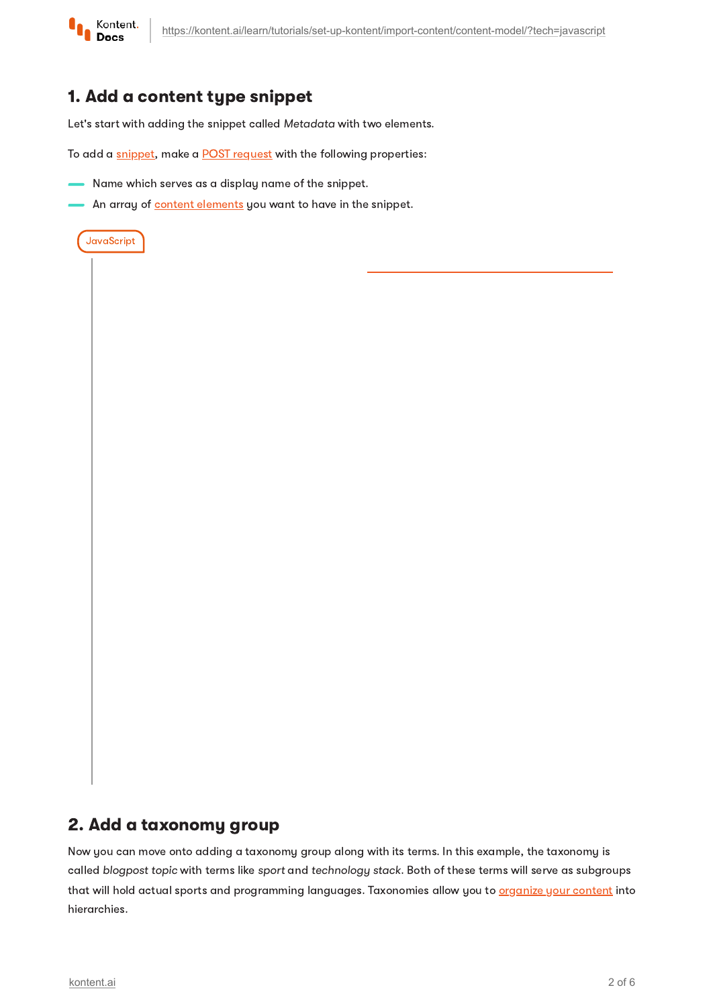

# 1. Add a content type snippet

Let's start with adding the snippet called Metadata with two elements.

To add a [snippet,](https://kontent.ai/learn/tutorials/manage-kontent/content-modeling/reuse-elements-with-snippets/) make a POST [request](https://kontent.ai/learn/reference/management-api-v2/#operation/add-a-content-type-snippet) with the following properties:

- Name which serves as a display name of the snippet.
- An array of <u>content [elements](https://kontent.ai/learn/reference/management-api-v2/#tag/Elements-in-content-types)</u> you want to have in the snippet.

**JavaScript** 

### 2. Add a taxonomy group

Now you can move onto adding a taxonomy group along with its terms. In this example, the taxonomy is called blogpost topic with terms like sport and technology stack. Both of these terms will serve as subgroups that will hold actual sports and programming languages. Taxonomies allow you to *[organize](https://kontent.ai/learn/tutorials/manage-kontent/content-modeling/create-taxonomies/) your content* into hierarchies.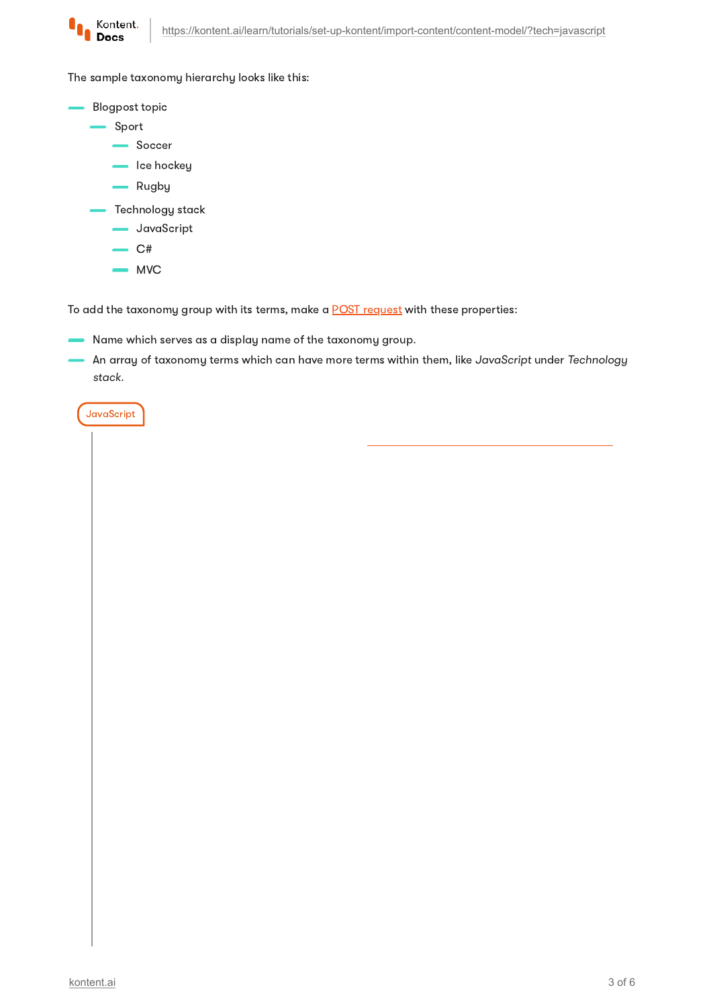

The sample taxonomy hierarchy looks like this:



To add the taxonomy group with its terms, make a POST [request](https://kontent.ai/learn/reference/management-api-v2/#operation/add-a-taxonomy-group) with these properties:

- Name which serves as a display name of the taxonomy group.
- An array of taxonomy terms which can have more terms within them, like JavaScript under Technology stack.

JavaScript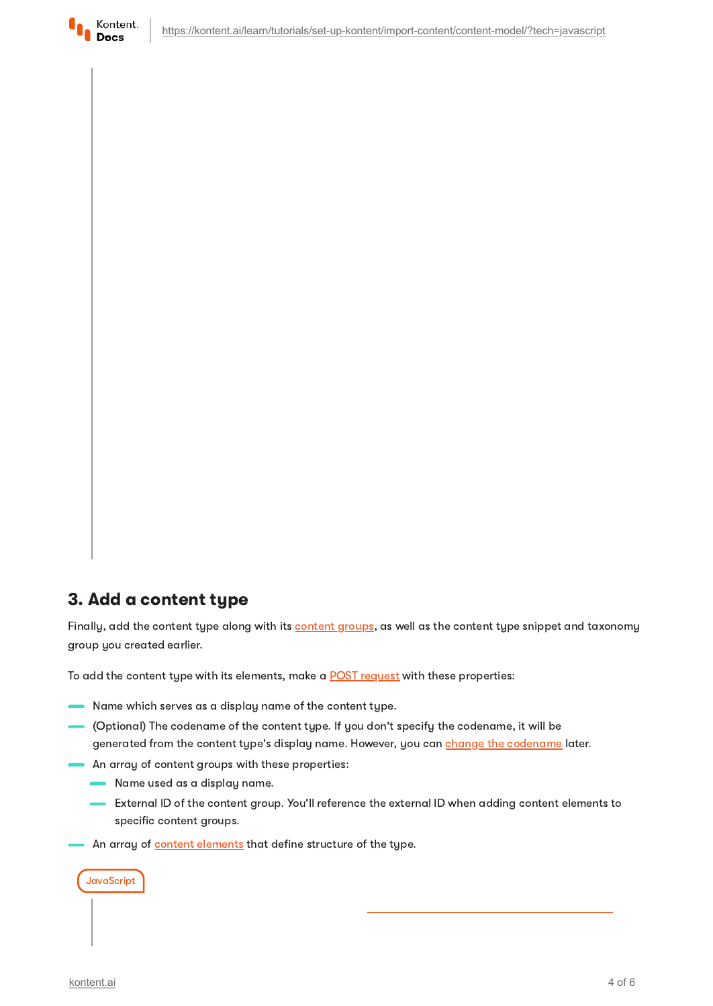

## 3. Add a content type

Finally, add the [content](https://kontent.ai/learn/tutorials/manage-kontent/content-modeling/organize-elements-with-content-groups/) type along with its content groups, as well as the content type snippet and taxonomy group you created earlier.

To add the content type with its elements, make a POST [request](https://kontent.ai/learn/reference/management-api-v2/#operation/add-a-content-type) with these properties:

- Name which serves as a display name of the content type.
- (Optional) The codename of the content type. If you don't specify the codename, it will be generated from the content type's display name. However, you can *change the [codename](https://kontent.ai/learn/reference/management-api-v2/#operation/modify-a-content-type)* later.
- An array of content groups with these properties:
	- Name used as a display name.
	- External ID of the content group. You'll reference the external ID when adding content elements to specific content groups.
	- An array of <u>content [elements](https://kontent.ai/learn/reference/management-api-v2/#tag/Elements-in-content-types)</u> that define structure of the type.

**JavaScript**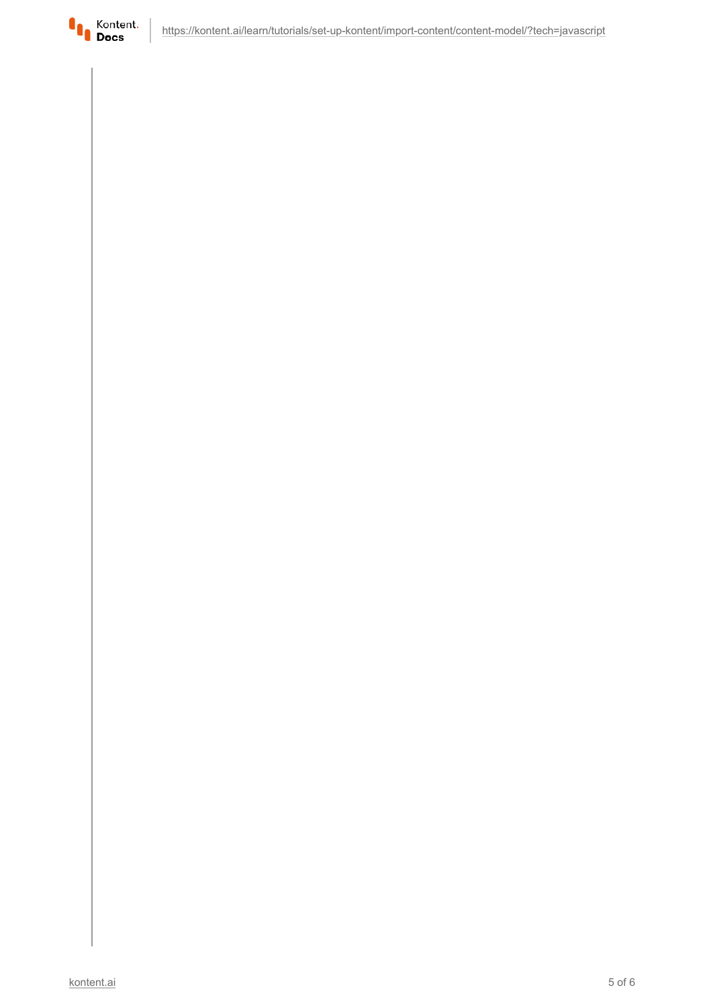